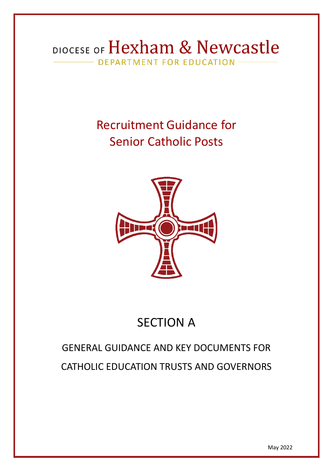# DIOCESE OF Hexham & Newcastle - DEPARTMENT FOR EDUCATION -

# Recruitment Guidance for Senior Catholic Posts



# SECTION A

# GENERAL GUIDANCE AND KEY DOCUMENTS FOR CATHOLIC EDUCATION TRUSTS AND GOVERNORS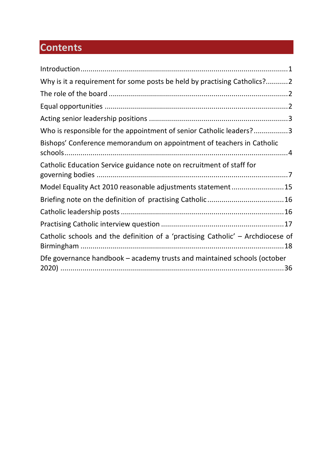# **Contents**

| Why is it a requirement for some posts be held by practising Catholics?2        |
|---------------------------------------------------------------------------------|
|                                                                                 |
|                                                                                 |
|                                                                                 |
| Who is responsible for the appointment of senior Catholic leaders?3             |
| Bishops' Conference memorandum on appointment of teachers in Catholic           |
| Catholic Education Service guidance note on recruitment of staff for            |
| Model Equality Act 2010 reasonable adjustments statement15                      |
|                                                                                 |
|                                                                                 |
|                                                                                 |
| Catholic schools and the definition of a 'practising Catholic' - Archdiocese of |
| Dfe governance handbook – academy trusts and maintained schools (october        |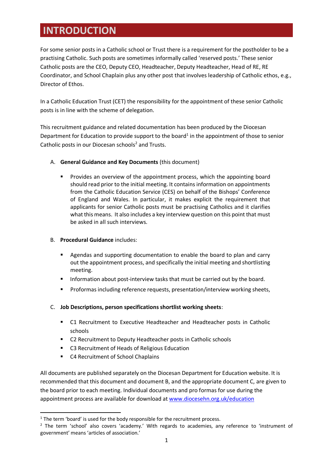# <span id="page-2-0"></span>**INTRODUCTION**

For some senior posts in a Catholic school or Trust there is a requirement for the postholder to be a practising Catholic. Such posts are sometimes informally called 'reserved posts.' These senior Catholic posts are the CEO, Deputy CEO, Headteacher, Deputy Headteacher, Head of RE, RE Coordinator, and School Chaplain plus any other post that involves leadership of Catholic ethos, e.g., Director of Ethos.

In a Catholic Education Trust (CET) the responsibility for the appointment of these senior Catholic posts is in line with the scheme of delegation.

This recruitment guidance and related documentation has been produced by the Diocesan Department for Education to provide support to the board<sup>1</sup> in the appointment of those to senior Catholic posts in our Diocesan schools<sup>2</sup> and Trusts.

- A. **General Guidance and Key Documents** (this document)
	- Provides an overview of the appointment process, which the appointing board should read prior to the initial meeting. It contains information on appointments from the Catholic Education Service (CES) on behalf of the Bishops' Conference of England and Wales. In particular, it makes explicit the requirement that applicants for senior Catholic posts must be practising Catholics and it clarifies what this means. It also includes a key interview question on this point that must be asked in all such interviews.
- B. **Procedural Guidance** includes:
	- Agendas and supporting documentation to enable the board to plan and carry out the appointment process, and specifically the initial meeting and shortlisting meeting.
	- Information about post-interview tasks that must be carried out by the board.
	- Proformas including reference requests, presentation/interview working sheets,
- C. **Job Descriptions, person specifications shortlist working sheets**:
	- C1 Recruitment to Executive Headteacher and Headteacher posts in Catholic schools
	- C2 Recruitment to Deputy Headteacher posts in Catholic schools
	- C3 Recruitment of Heads of Religious Education
	- C4 Recruitment of School Chaplains

All documents are published separately on the Diocesan Department for Education website. It is recommended that this document and document B, and the appropriate document C, are given to the board prior to each meeting. Individual documents and pro formas for use during the appointment process are available for download a[t www.diocesehn.org.uk/education](https://diocesehn.org.uk/education/)

 $1$  The term 'board' is used for the body responsible for the recruitment process.

<sup>&</sup>lt;sup>2</sup> The term 'school' also covers 'academy.' With regards to academies, any reference to 'instrument of government' means 'articles of association.'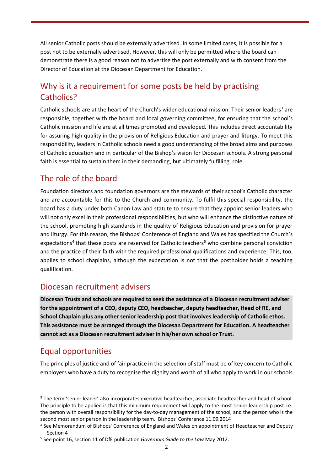All senior Catholic posts should be externally advertised. In some limited cases, it is possible for a post not to be externally advertised. However, this will only be permitted where the board can demonstrate there is a good reason not to advertise the post externally and with consent from the Director of Education at the Diocesan Department for Education.

# <span id="page-3-0"></span>Why is it a requirement for some posts be held by practising Catholics?

Catholic schools are at the heart of the Church's wider educational mission. Their senior leaders<sup>3</sup> are responsible, together with the board and local governing committee, for ensuring that the school's Catholic mission and life are at all times promoted and developed. This includes direct accountability for assuring high quality in the provision of Religious Education and prayer and liturgy. To meet this responsibility, leaders in Catholic schools need a good understanding of the broad aims and purposes of Catholic education and in particular of the Bishop's vision for Diocesan schools. A strong personal faith is essential to sustain them in their demanding, but ultimately fulfilling, role.

# <span id="page-3-1"></span>The role of the board

Foundation directors and foundation governors are the stewards of their school's Catholic character and are accountable for this to the Church and community. To fulfil this special responsibility, the board has a duty under both Canon Law and statute to ensure that they appoint senior leaders who will not only excel in their professional responsibilities, but who will enhance the distinctive nature of the school, promoting high standards in the quality of Religious Education and provision for prayer and liturgy. For this reason, the Bishops' Conference of England and Wales has specified the Church's expectations<sup>4</sup> that these posts are reserved for Catholic teachers<sup>5</sup> who combine personal conviction and the practice of their faith with the required professional qualifications and experience. This, too, applies to school chaplains, although the expectation is not that the postholder holds a teaching qualification.

# Diocesan recruitment advisers

**Diocesan Trusts and schools are required to seek the assistance of a Diocesan recruitment adviser for the appointment of a CEO, deputy CEO, headteacher, deputy headteacher, Head of RE, and School Chaplain plus any other senior leadership post that involves leadership of Catholic ethos. This assistance must be arranged through the Diocesan Department for Education. A headteacher cannot act as a Diocesan recruitment adviser in his/her own school or Trust.**

# <span id="page-3-2"></span>Equal opportunities

The principles of justice and of fair practice in the selection of staff must be of key concern to Catholic employers who have a duty to recognise the dignity and worth of all who apply to work in our schools

<sup>&</sup>lt;sup>3</sup> The term 'senior leader' also incorporates executive headteacher, associate headteacher and head of school. The principle to be applied is that this minimum requirement will apply to the most senior leadership post i.e. the person with overall responsibility for the day-to-day management of the school, and the person who is the second most senior person in the leadership team. Bishops' Conference 11.09.2014

<sup>4</sup> See Memorandum of Bishops' Conference of England and Wales on appointment of Headteacher and Deputy – Section 4

<sup>5</sup> See point 16, section 11 of DfE publication *Governors Guide to the Law* May 2012.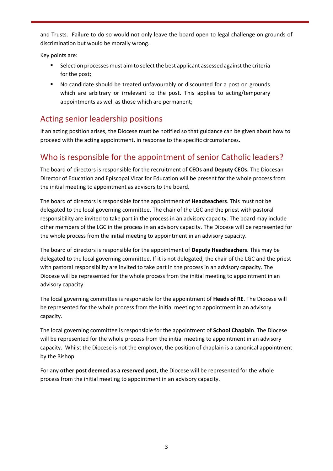and Trusts. Failure to do so would not only leave the board open to legal challenge on grounds of discrimination but would be morally wrong.

Key points are:

- Selection processes must aim to select the best applicant assessed against the criteria for the post;
- No candidate should be treated unfavourably or discounted for a post on grounds which are arbitrary or irrelevant to the post. This applies to acting/temporary appointments as well as those which are permanent;

# <span id="page-4-0"></span>Acting senior leadership positions

If an acting position arises, the Diocese must be notified so that guidance can be given about how to proceed with the acting appointment, in response to the specific circumstances.

# <span id="page-4-1"></span>Who is responsible for the appointment of senior Catholic leaders?

The board of directors is responsible for the recruitment of **CEOs and Deputy CEOs.** The Diocesan Director of Education and Episcopal Vicar for Education will be present for the whole process from the initial meeting to appointment as advisors to the board.

The board of directors is responsible for the appointment of **Headteachers**. This must not be delegated to the local governing committee. The chair of the LGC and the priest with pastoral responsibility are invited to take part in the process in an advisory capacity. The board may include other members of the LGC in the process in an advisory capacity. The Diocese will be represented for the whole process from the initial meeting to appointment in an advisory capacity.

The board of directors is responsible for the appointment of **Deputy Headteachers**. This may be delegated to the local governing committee. If it is not delegated, the chair of the LGC and the priest with pastoral responsibility are invited to take part in the process in an advisory capacity. The Diocese will be represented for the whole process from the initial meeting to appointment in an advisory capacity.

The local governing committee is responsible for the appointment of **Heads of RE**. The Diocese will be represented for the whole process from the initial meeting to appointment in an advisory capacity.

The local governing committee is responsible for the appointment of **School Chaplain**. The Diocese will be represented for the whole process from the initial meeting to appointment in an advisory capacity. Whilst the Diocese is not the employer, the position of chaplain is a canonical appointment by the Bishop.

For any **other post deemed as a reserved post**, the Diocese will be represented for the whole process from the initial meeting to appointment in an advisory capacity.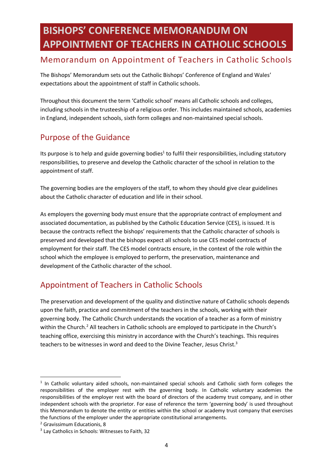# <span id="page-5-0"></span>**BISHOPS' CONFERENCE MEMORANDUM ON APPOINTMENT OF TEACHERS IN CATHOLIC SCHOOLS**

# Memorandum on Appointment of Teachers in Catholic Schools

The Bishops' Memorandum sets out the Catholic Bishops' Conference of England and Wales' expectations about the appointment of staff in Catholic schools.

Throughout this document the term 'Catholic school' means all Catholic schools and colleges, including schools in the trusteeship of a religious order. This includes maintained schools, academies in England, independent schools, sixth form colleges and non-maintained special schools.

# Purpose of the Guidance

Its purpose is to help and guide governing bodies<sup>1</sup> to fulfil their responsibilities, including statutory responsibilities, to preserve and develop the Catholic character of the school in relation to the appointment of staff.

The governing bodies are the employers of the staff, to whom they should give clear guidelines about the Catholic character of education and life in their school.

As employers the governing body must ensure that the appropriate contract of employment and associated documentation, as published by the Catholic Education Service (CES), is issued. It is because the contracts reflect the bishops' requirements that the Catholic character of schools is preserved and developed that the bishops expect all schools to use CES model contracts of employment for their staff. The CES model contracts ensure, in the context of the role within the school which the employee is employed to perform, the preservation, maintenance and development of the Catholic character of the school.

# Appointment of Teachers in Catholic Schools

The preservation and development of the quality and distinctive nature of Catholic schools depends upon the faith, practice and commitment of the teachers in the schools, working with their governing body. The Catholic Church understands the vocation of a teacher as a form of ministry within the Church.<sup>2</sup> All teachers in Catholic schools are employed to participate in the Church's teaching office, exercising this ministry in accordance with the Church's teachings. This requires teachers to be witnesses in word and deed to the Divine Teacher, Jesus Christ.<sup>3</sup>

<sup>&</sup>lt;sup>1</sup> In Catholic voluntary aided schools, non-maintained special schools and Catholic sixth form colleges the responsibilities of the employer rest with the governing body. In Catholic voluntary academies the responsibilities of the employer rest with the board of directors of the academy trust company, and in other independent schools with the proprietor. For ease of reference the term 'governing body' is used throughout this Memorandum to denote the entity or entities within the school or academy trust company that exercises the functions of the employer under the appropriate constitutional arrangements.

<sup>2</sup> Gravissimum Educationis, 8

<sup>&</sup>lt;sup>3</sup> Lay Catholics in Schools: Witnesses to Faith, 32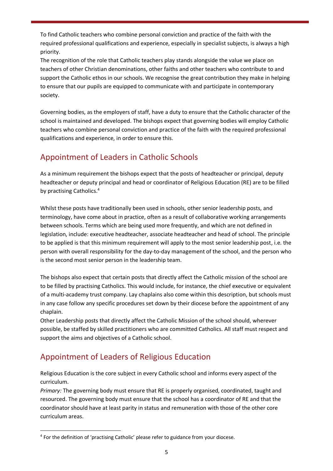To find Catholic teachers who combine personal conviction and practice of the faith with the required professional qualifications and experience, especially in specialist subjects, is always a high priority.

The recognition of the role that Catholic teachers play stands alongside the value we place on teachers of other Christian denominations, other faiths and other teachers who contribute to and support the Catholic ethos in our schools. We recognise the great contribution they make in helping to ensure that our pupils are equipped to communicate with and participate in contemporary society.

Governing bodies, as the employers of staff, have a duty to ensure that the Catholic character of the school is maintained and developed. The bishops expect that governing bodies will employ Catholic teachers who combine personal conviction and practice of the faith with the required professional qualifications and experience, in order to ensure this.

# Appointment of Leaders in Catholic Schools

As a minimum requirement the bishops expect that the posts of headteacher or principal, deputy headteacher or deputy principal and head or coordinator of Religious Education (RE) are to be filled by practising Catholics.<sup>4</sup>

Whilst these posts have traditionally been used in schools, other senior leadership posts, and terminology, have come about in practice, often as a result of collaborative working arrangements between schools. Terms which are being used more frequently, and which are not defined in legislation, include: executive headteacher, associate headteacher and head of school. The principle to be applied is that this minimum requirement will apply to the most senior leadership post, i.e. the person with overall responsibility for the day-to-day management of the school, and the person who is the second most senior person in the leadership team.

The bishops also expect that certain posts that directly affect the Catholic mission of the school are to be filled by practising Catholics. This would include, for instance, the chief executive or equivalent of a multi-academy trust company. Lay chaplains also come within this description, but schools must in any case follow any specific procedures set down by their diocese before the appointment of any chaplain.

Other Leadership posts that directly affect the Catholic Mission of the school should, wherever possible, be staffed by skilled practitioners who are committed Catholics. All staff must respect and support the aims and objectives of a Catholic school.

# Appointment of Leaders of Religious Education

Religious Education is the core subject in every Catholic school and informs every aspect of the curriculum.

*Primary:* The governing body must ensure that RE is properly organised, coordinated, taught and resourced. The governing body must ensure that the school has a coordinator of RE and that the coordinator should have at least parity in status and remuneration with those of the other core curriculum areas.

<sup>&</sup>lt;sup>4</sup> For the definition of 'practising Catholic' please refer to guidance from your diocese.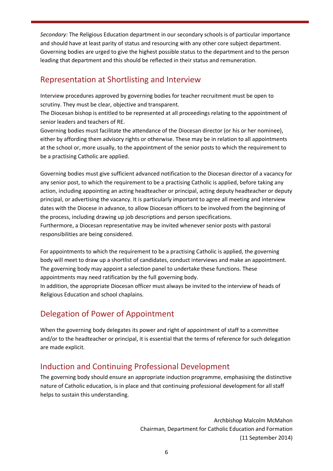*Secondary:* The Religious Education department in our secondary schools is of particular importance and should have at least parity of status and resourcing with any other core subject department. Governing bodies are urged to give the highest possible status to the department and to the person leading that department and this should be reflected in their status and remuneration.

# Representation at Shortlisting and Interview

Interview procedures approved by governing bodies for teacher recruitment must be open to scrutiny. They must be clear, objective and transparent.

The Diocesan bishop is entitled to be represented at all proceedings relating to the appointment of senior leaders and teachers of RE.

Governing bodies must facilitate the attendance of the Diocesan director (or his or her nominee), either by affording them advisory rights or otherwise. These may be in relation to all appointments at the school or, more usually, to the appointment of the senior posts to which the requirement to be a practising Catholic are applied.

Governing bodies must give sufficient advanced notification to the Diocesan director of a vacancy for any senior post, to which the requirement to be a practising Catholic is applied, before taking any action, including appointing an acting headteacher or principal, acting deputy headteacher or deputy principal, or advertising the vacancy. It is particularly important to agree all meeting and interview dates with the Diocese in advance, to allow Diocesan officers to be involved from the beginning of the process, including drawing up job descriptions and person specifications. Furthermore, a Diocesan representative may be invited whenever senior posts with pastoral responsibilities are being considered.

For appointments to which the requirement to be a practising Catholic is applied, the governing body will meet to draw up a shortlist of candidates, conduct interviews and make an appointment. The governing body may appoint a selection panel to undertake these functions. These appointments may need ratification by the full governing body.

In addition, the appropriate Diocesan officer must always be invited to the interview of heads of Religious Education and school chaplains.

# Delegation of Power of Appointment

When the governing body delegates its power and right of appointment of staff to a committee and/or to the headteacher or principal, it is essential that the terms of reference for such delegation are made explicit.

# Induction and Continuing Professional Development

The governing body should ensure an appropriate induction programme, emphasising the distinctive nature of Catholic education, is in place and that continuing professional development for all staff helps to sustain this understanding.

> Archbishop Malcolm McMahon Chairman, Department for Catholic Education and Formation (11 September 2014)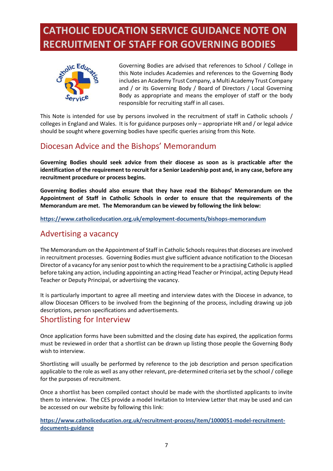# <span id="page-8-0"></span>**CATHOLIC EDUCATION SERVICE GUIDANCE NOTE ON RECRUITMENT OF STAFF FOR GOVERNING BODIES**



Governing Bodies are advised that references to School / College in this Note includes Academies and references to the Governing Body includes an Academy Trust Company, a Multi Academy Trust Company and / or its Governing Body / Board of Directors / Local Governing Body as appropriate and means the employer of staff or the body responsible for recruiting staff in all cases.

This Note is intended for use by persons involved in the recruitment of staff in Catholic schools / colleges in England and Wales. It is for guidance purposes only – appropriate HR and / or legal advice should be sought where governing bodies have specific queries arising from this Note.

# Diocesan Advice and the Bishops' Memorandum

**Governing Bodies should seek advice from their diocese as soon as is practicable after the identification of the requirement to recruit for a Senior Leadership post and, in any case, before any recruitment procedure or process begins.**

**Governing Bodies should also ensure that they have read the Bishops' Memorandum on the Appointment of Staff in Catholic Schools in order to ensure that the requirements of the Memorandum are met. The Memorandum can be viewed by following the link below:**

**<https://www.catholiceducation.org.uk/employment-documents/bishops-memorandum>**

## Advertising a vacancy

The Memorandum on the Appointment of Staff in Catholic Schools requires that dioceses are involved in recruitment processes. Governing Bodies must give sufficient advance notification to the Diocesan Director of a vacancy for any senior post to which the requirement to be a practising Catholic is applied before taking any action, including appointing an acting Head Teacher or Principal, acting Deputy Head Teacher or Deputy Principal, or advertising the vacancy.

It is particularly important to agree all meeting and interview dates with the Diocese in advance, to allow Diocesan Officers to be involved from the beginning of the process, including drawing up job descriptions, person specifications and advertisements.

## Shortlisting for Interview

Once application forms have been submitted and the closing date has expired, the application forms must be reviewed in order that a shortlist can be drawn up listing those people the Governing Body wish to interview.

Shortlisting will usually be performed by reference to the job description and person specification applicable to the role as well as any other relevant, pre-determined criteria set by the school / college for the purposes of recruitment.

Once a shortlist has been compiled contact should be made with the shortlisted applicants to invite them to interview. The CES provide a model Invitation to Interview Letter that may be used and can be accessed on our website by following this link:

**[https://www.catholiceducation.org.uk/recruitment-process/item/1000051-model-recruitment](https://www.catholiceducation.org.uk/recruitment-process/item/1000051-model-recruitment-documents-guidance)[documents-guidance](https://www.catholiceducation.org.uk/recruitment-process/item/1000051-model-recruitment-documents-guidance)**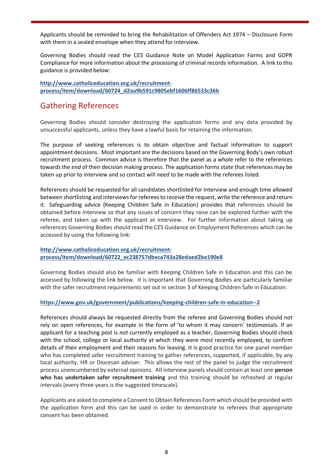Applicants should be reminded to bring the Rehabilitation of Offenders Act 1974 – Disclosure Form with them in a sealed envelope when they attend for interview.

Governing Bodies should read the CES Guidance Note on Model Application Forms and GDPR Compliance for more information about the processing of criminal records information. A link to this guidance is provided below:

#### **[http://www.catholiceducation.org.uk/recruitment](http://www.catholiceducation.org.uk/recruitment-process/item/download/60724_d2aa9b591c9805ebf1606ff86533c36b)[process/item/download/60724\\_d2aa9b591c9805ebf1606ff86533c36b](http://www.catholiceducation.org.uk/recruitment-process/item/download/60724_d2aa9b591c9805ebf1606ff86533c36b)**

## Gathering References

Governing Bodies should consider destroying the application forms and any data provided by unsuccessful applicants, unless they have a lawful basis for retaining the information.

The purpose of seeking references is to obtain objective and factual information to support appointment decisions. Most important are the decisions based on the Governing Body's own robust recruitment process. Common advice is therefore that the panel as a whole refer to the references towards the *end* of their decision making process. The application forms state that references may be taken up prior to interview and so contact will need to be made with the referees listed.

References should be requested for all candidates shortlisted for interview and enough time allowed between shortlisting and interviews for referees to receive the request, write the reference and return it. Safeguarding advice (Keeping Children Safe in Education) provides that references should be obtained before interview so that any issues of concern they raise can be explored further with the referee, and taken up with the applicant at interview. For further information about taking up references Governing Bodies should read the CES Guidance on Employment References which can be accessed by using the following link:

#### **[http://www.catholiceducation.org.uk/recruitment](http://www.catholiceducation.org.uk/recruitment-process/item/download/60722_ec238757dbeca743a28edaed2be190e8)[process/item/download/60722\\_ec238757dbeca743a28edaed2be190e8](http://www.catholiceducation.org.uk/recruitment-process/item/download/60722_ec238757dbeca743a28edaed2be190e8)**

Governing Bodies should also be familiar with Keeping Children Safe in Education and this can be accessed by following the link below. It is important that Governing Bodies are particularly familiar with the safer recruitment requirements set out in section 3 of Keeping Children Safe in Education:

#### **<https://www.gov.uk/government/publications/keeping-children-safe-in-education--2>**

References should always be requested directly from the referee and Governing Bodies should not rely on open references, for example in the form of 'to whom it may concern' testimonials. If an applicant for a teaching post is *not* currently employed as a teacher, Governing Bodies should check with the school, college or local authority at which they were most recently employed, to confirm details of their employment and their reasons for leaving. It is good practice for one panel member who has completed safer recruitment training to gather references, supported, if applicable, by any local authority, HR or Diocesan adviser. This allows the rest of the panel to judge the recruitment process unencumbered by external opinions. All interview panels should contain at least one **person who has undertaken safer recruitment training** and this training should be refreshed at regular intervals (every three years is the suggested timescale).

Applicants are asked to complete a Consent to Obtain References Form which should be provided with the application form and this can be used in order to demonstrate to referees that appropriate consent has been obtained.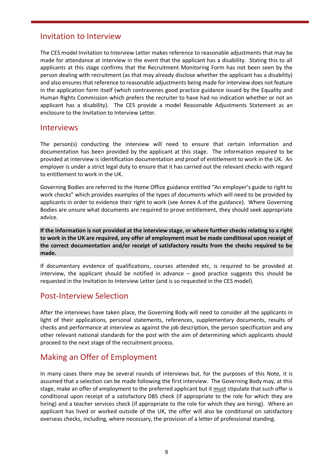## Invitation to Interview

The CES model Invitation to Interview Letter makes reference to reasonable adjustments that may be made for attendance at interview in the event that the applicant has a disability. Stating this to all applicants at this stage confirms that the Recruitment Monitoring Form has not been seen by the person dealing with recruitment (as that may already disclose whether the applicant has a disability) and also ensures that reference to reasonable adjustments being made for interview does not feature in the application form itself (which contravenes good practice guidance issued by the Equality and Human Rights Commission which prefers the recruiter to have had no indication whether or not an applicant has a disability). The CES provide a model Reasonable Adjustments Statement as an enclosure to the Invitation to Interview Letter.

#### Interviews

The person(s) conducting the interview will need to ensure that certain information and documentation has been provided by the applicant at this stage. The information *required* to be provided at interview is identification documentation and proof of entitlement to work in the UK. An employer is under a strict legal duty to ensure that it has carried out the relevant checks with regard to entitlement to work in the UK.

Governing Bodies are referred to the Home Office guidance entitled "An employer's guide to right to work checks" which provides examples of the types of documents which will need to be provided by applicants in order to evidence their right to work (see Annex A of the guidance). Where Governing Bodies are unsure what documents are required to prove entitlement, they should seek appropriate advice.

**If the information is not provided at the interview stage, or where further checks relating to a right to work in the UK are required, any offer of employment must be made conditional upon receipt of the correct documentation and/or receipt of satisfactory results from the checks required to be made.** 

If documentary evidence of qualifications, courses attended etc, is required to be provided at interview, the applicant should be notified in advance – good practice suggests this should be requested in the Invitation to Interview Letter (and is so requested in the CES model).

## Post-Interview Selection

After the interviews have taken place, the Governing Body will need to consider all the applicants in light of their applications, personal statements, references, supplementary documents, results of checks and performance at interview as against the job description, the person specification and any other relevant national standards for the post with the aim of determining which applicants should proceed to the next stage of the recruitment process.

# Making an Offer of Employment

In many cases there may be several rounds of interviews but, for the purposes of this Note, it is assumed that a selection can be made following the first interview. The Governing Body may, at this stage, make an offer of employment to the preferred applicant but it must stipulate that such offer is conditional upon receipt of a satisfactory DBS check (if appropriate to the role for which they are hiring) and a teacher services check (if appropriate to the role for which they are hiring). Where an applicant has lived or worked outside of the UK, the offer will also be conditional on satisfactory overseas checks, including, where necessary, the provision of a letter of professional standing.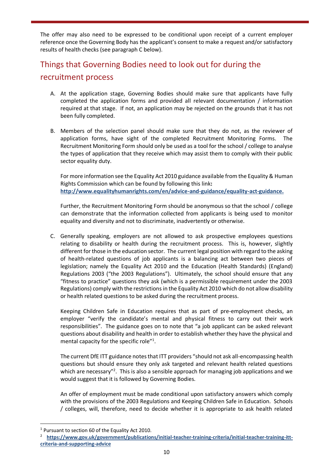The offer may also need to be expressed to be conditional upon receipt of a current employer reference once the Governing Body has the applicant's consent to make a request and/or satisfactory results of health checks (see paragraph C below).

# Things that Governing Bodies need to look out for during the recruitment process

- A. At the application stage, Governing Bodies should make sure that applicants have fully completed the application forms and provided all relevant documentation / information required at that stage. If not, an application may be rejected on the grounds that it has not been fully completed.
- B. Members of the selection panel should make sure that they do not, as the reviewer of application forms, have sight of the completed Recruitment Monitoring Forms. The Recruitment Monitoring Form should only be used as a tool for the school / college to analyse the types of application that they receive which may assist them to comply with their public sector equality duty.

For more information see the Equality Act 2010 guidance available from the Equality & Human Rights Commission which can be found by following this link**: [http://www.equalityhumanrights.com/en/advice-and-guidance/equality-act-guidance.](http://www.equalityhumanrights.com/en/advice-and-guidance/equality-act-guidance)** 

Further, the Recruitment Monitoring Form should be anonymous so that the school / college can demonstrate that the information collected from applicants is being used to monitor equality and diversity and not to discriminate, inadvertently or otherwise.

C. Generally speaking, employers are not allowed to ask prospective employees questions relating to disability or health during the recruitment process. This is, however, slightly different for those in the education sector. The current legal position with regard to the asking of health-related questions of job applicants is a balancing act between two pieces of legislation; namely the Equality Act 2010 and the Education (Health Standards) (England) Regulations 2003 ("the 2003 Regulations"). Ultimately, the school should ensure that any "fitness to practice" questions they ask (which is a permissible requirement under the 2003 Regulations) comply with the restrictions in the Equality Act 2010 which do not allow disability or health related questions to be asked during the recruitment process.

Keeping Children Safe in Education requires that as part of pre-employment checks, an employer "verify the candidate's mental and physical fitness to carry out their work responsibilities". The guidance goes on to note that "a job applicant can be asked relevant questions about disability and health in order to establish whether they have the physical and mental capacity for the specific role"<sup>1</sup>.

The current DfE ITT guidance notes that ITT providers "should not ask all-encompassing health questions but should ensure they only ask targeted and relevant health related questions which are necessary"<sup>2</sup>. This is also a sensible approach for managing job applications and we would suggest that it is followed by Governing Bodies.

An offer of employment must be made conditional upon satisfactory answers which comply with the provisions of the 2003 Regulations and Keeping Children Safe in Education. Schools / colleges, will, therefore, need to decide whether it is appropriate to ask health related

<sup>1</sup> Pursuant to section 60 of the Equality Act 2010.

<sup>2</sup> **[https://www.gov.uk/government/publications/initial-teacher-training-criteria/initial-teacher-training-itt](https://www.gov.uk/government/publications/initial-teacher-training-criteria/initial-teacher-training-itt-criteria-and-supporting-advice)[criteria-and-supporting-advice](https://www.gov.uk/government/publications/initial-teacher-training-criteria/initial-teacher-training-itt-criteria-and-supporting-advice)**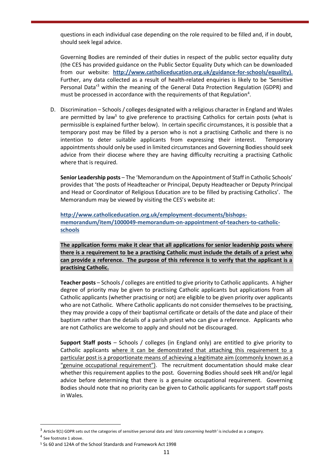questions in each individual case depending on the role required to be filled and, if in doubt, should seek legal advice.

Governing Bodies are reminded of their duties in respect of the public sector equality duty (the CES has provided guidance on the Public Sector Equality Duty which can be downloaded from our website: **[http://www.catholiceducation.org.uk/guidance-for-schools/equality\)](http://www.catholiceducation.org.uk/guidance-for-schools/equality).** Further, any data collected as a result of health-related enquiries is likely to be 'Sensitive Personal Data'<sup>3</sup> within the meaning of the General Data Protection Regulation (GDPR) and must be processed in accordance with the requirements of that Regulation<sup>4</sup>.

D. Discrimination – Schools / colleges designated with a religious character in England and Wales are permitted by law<sup>5</sup> to give preference to practising Catholics for certain posts (what is permissible is explained further below). In certain specific circumstances, it is possible that a temporary post may be filled by a person who is not a practising Catholic and there is no intention to deter suitable applicants from expressing their interest. Temporary appointments should only be used in limited circumstances and Governing Bodies should seek advice from their diocese where they are having difficulty recruiting a practising Catholic where that is required.

**Senior Leadership posts** – The 'Memorandum on the Appointment of Staff in Catholic Schools' provides that 'the posts of Headteacher or Principal, Deputy Headteacher or Deputy Principal and Head or Coordinator of Religious Education are to be filled by practising Catholics'. The Memorandum may be viewed by visiting the CES's website at:

**[http://www.catholiceducation.org.uk/employment-documents/bishops](http://www.catholiceducation.org.uk/employment-documents/bishops-memorandum/item/1000049-memorandum-on-appointment-of-teachers-to-catholic-schools)[memorandum/item/1000049-memorandum-on-appointment-of-teachers-to-catholic](http://www.catholiceducation.org.uk/employment-documents/bishops-memorandum/item/1000049-memorandum-on-appointment-of-teachers-to-catholic-schools)[schools](http://www.catholiceducation.org.uk/employment-documents/bishops-memorandum/item/1000049-memorandum-on-appointment-of-teachers-to-catholic-schools)**

**The application forms make it clear that all applications for senior leadership posts where there is a requirement to be a practising Catholic must include the details of a priest who can provide a reference. The purpose of this reference is to verify that the applicant is a practising Catholic.**

**Teacher posts** – Schools / colleges are entitled to give priority to Catholic applicants. A higher degree of priority may be given to practising Catholic applicants but applications from all Catholic applicants (whether practising or not) are eligible to be given priority over applicants who are not Catholic. Where Catholic applicants do not consider themselves to be practising, they may provide a copy of their baptismal certificate or details of the date and place of their baptism rather than the details of a parish priest who can give a reference. Applicants who are not Catholics are welcome to apply and should not be discouraged.

**Support Staff posts** – Schools / colleges (in England only) are entitled to give priority to Catholic applicants where it can be demonstrated that attaching this requirement to a particular post is a proportionate means of achieving a legitimate aim (commonly known as a "genuine occupational requirement"). The recruitment documentation should make clear whether this requirement applies to the post. Governing Bodies should seek HR and/or legal advice before determining that there is a genuine occupational requirement. Governing Bodies should note that no priority can be given to Catholic applicants for support staff posts in Wales.

<sup>3</sup> Article 9(1) GDPR sets out the categories of sensitive personal data and *'data concerning health'* is included as a category.

<sup>4</sup> See footnote 1 above.

<sup>5</sup> Ss 60 and 124A of the School Standards and Framework Act 1998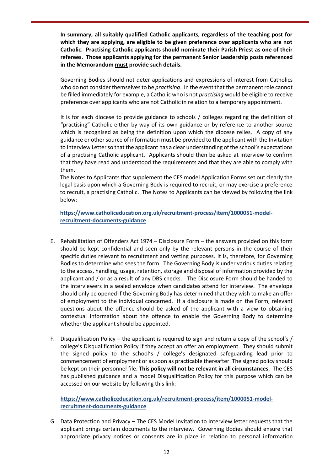**In summary, all suitably qualified Catholic applicants, regardless of the teaching post for which they are applying, are eligible to be given preference over applicants who are not Catholic. Practising Catholic applicants should nominate their Parish Priest as one of their referees. Those applicants applying for the permanent Senior Leadership posts referenced in the Memorandum must provide such details.** 

Governing Bodies should not deter applications and expressions of interest from Catholics who do not consider themselves to be *practising*. In the event that the permanent role cannot be filled immediately for example, a Catholic who is not *practising* would be eligible to receive preference over applicants who are not Catholic in relation to a temporary appointment.

It is for each diocese to provide guidance to schools / colleges regarding the definition of "practising" Catholic either by way of its own guidance or by reference to another source which is recognised as being the definition upon which the diocese relies. A copy of any guidance or other source of information must be provided to the applicant with the Invitation to Interview Letter so that the applicant has a clear understanding of the school's expectations of a practising Catholic applicant. Applicants should then be asked at interview to confirm that they have read and understood the requirements and that they are able to comply with them.

The Notes to Applicants that supplement the CES model Application Forms set out clearly the legal basis upon which a Governing Body is required to recruit, or may exercise a preference to recruit, a practising Catholic. The Notes to Applicants can be viewed by following the link below:

**[https://www.catholiceducation.org.uk/recruitment-process/item/1000051-model](https://www.catholiceducation.org.uk/recruitment-process/item/1000051-model-recruitment-documents-guidance)[recruitment-documents-guidance](https://www.catholiceducation.org.uk/recruitment-process/item/1000051-model-recruitment-documents-guidance)**

- E. Rehabilitation of Offenders Act 1974 Disclosure Form the answers provided on this form should be kept confidential and seen only by the relevant persons in the course of their specific duties relevant to recruitment and vetting purposes. It is, therefore, for Governing Bodies to determine who sees the form. The Governing Body is under various duties relating to the access, handling, usage, retention, storage and disposal of information provided by the applicant and / or as a result of any DBS checks. The Disclosure Form should be handed to the interviewers in a sealed envelope when candidates attend for interview. The envelope should only be opened if the Governing Body has determined that they wish to make an offer of employment to the individual concerned. If a disclosure is made on the Form, relevant questions about the offence should be asked of the applicant with a view to obtaining contextual information about the offence to enable the Governing Body to determine whether the applicant should be appointed.
- F. Disqualification Policy the applicant is required to sign and return a copy of the school's / college's Disqualification Policy if they accept an offer an employment. They should submit the signed policy to the school's / college's designated safeguarding lead prior to commencement of employment or as soon as practicable thereafter. The signed policy should be kept on their personnel file. **This policy will not be relevant in all circumstances**. The CES has published guidance and a model Disqualification Policy for this purpose which can be accessed on our website by following this link:

#### **[https://www.catholiceducation.org.uk/recruitment-process/item/1000051-model](https://www.catholiceducation.org.uk/recruitment-process/item/1000051-model-recruitment-documents-guidance)[recruitment-documents-guidance](https://www.catholiceducation.org.uk/recruitment-process/item/1000051-model-recruitment-documents-guidance)**

G. Data Protection and Privacy – The CES Model Invitation to Interview letter requests that the applicant brings certain documents to the interview. Governing Bodies should ensure that appropriate privacy notices or consents are in place in relation to personal information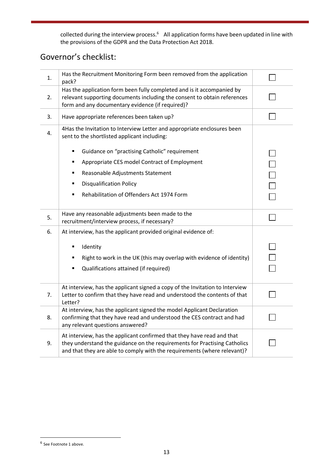collected during the interview process. $<sup>6</sup>$  All application forms have been updated in line with</sup> the provisions of the GDPR and the Data Protection Act 2018.

# Governor's checklist:

| 1. | Has the Recruitment Monitoring Form been removed from the application<br>pack?                                                                                                                                                  |  |
|----|---------------------------------------------------------------------------------------------------------------------------------------------------------------------------------------------------------------------------------|--|
| 2. | Has the application form been fully completed and is it accompanied by<br>relevant supporting documents including the consent to obtain references<br>form and any documentary evidence (if required)?                          |  |
| 3. | Have appropriate references been taken up?                                                                                                                                                                                      |  |
| 4. | 4Has the Invitation to Interview Letter and appropriate enclosures been<br>sent to the shortlisted applicant including:                                                                                                         |  |
|    | Guidance on "practising Catholic" requirement<br>٠                                                                                                                                                                              |  |
|    | Appropriate CES model Contract of Employment<br>٠                                                                                                                                                                               |  |
|    | Reasonable Adjustments Statement<br>٠                                                                                                                                                                                           |  |
|    | <b>Disqualification Policy</b><br>٠                                                                                                                                                                                             |  |
|    | Rehabilitation of Offenders Act 1974 Form<br>٠                                                                                                                                                                                  |  |
| 5. | Have any reasonable adjustments been made to the<br>recruitment/interview process, if necessary?                                                                                                                                |  |
| 6. | At interview, has the applicant provided original evidence of:                                                                                                                                                                  |  |
|    | Identity<br>٠                                                                                                                                                                                                                   |  |
|    | Right to work in the UK (this may overlap with evidence of identity)<br>٠                                                                                                                                                       |  |
|    | Qualifications attained (if required)                                                                                                                                                                                           |  |
| 7. | At interview, has the applicant signed a copy of the Invitation to Interview<br>Letter to confirm that they have read and understood the contents of that<br>Letter?                                                            |  |
| 8. | At interview, has the applicant signed the model Applicant Declaration<br>confirming that they have read and understood the CES contract and had<br>any relevant questions answered?                                            |  |
| 9. | At interview, has the applicant confirmed that they have read and that<br>they understand the guidance on the requirements for Practising Catholics<br>and that they are able to comply with the requirements (where relevant)? |  |

<sup>&</sup>lt;sup>6</sup> See Footnote 1 above.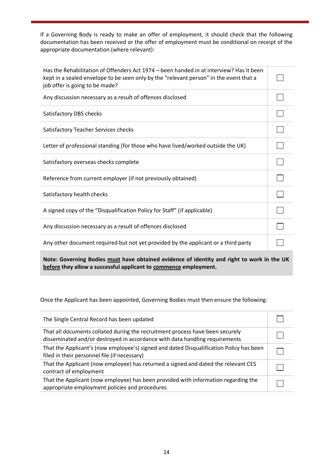If a Governing Body is ready to make an offer of employment, it should check that the following documentation has been received or the offer of employment must be conditional on receipt of the appropriate documentation (where relevant):

| Has the Rehabilitation of Offenders Act 1974 – been handed in at interview? Has it been<br>kept in a sealed envelope to be seen only by the "relevant person" in the event that a<br>job offer is going to be made? |  |
|---------------------------------------------------------------------------------------------------------------------------------------------------------------------------------------------------------------------|--|
| Any discussion necessary as a result of offences disclosed                                                                                                                                                          |  |
| Satisfactory DBS checks                                                                                                                                                                                             |  |
| Satisfactory Teacher Services checks                                                                                                                                                                                |  |
| Letter of professional standing (for those who have lived/worked outside the UK)                                                                                                                                    |  |
| Satisfactory overseas checks complete                                                                                                                                                                               |  |
| Reference from current employer (if not previously obtained)                                                                                                                                                        |  |
| Satisfactory health checks                                                                                                                                                                                          |  |
| A signed copy of the "Disqualification Policy for Staff" (if applicable)                                                                                                                                            |  |
| Any discussion necessary as a result of offences disclosed                                                                                                                                                          |  |
| Any other document required but not yet provided by the applicant or a third party                                                                                                                                  |  |
|                                                                                                                                                                                                                     |  |

**Note: Governing Bodies must have obtained evidence of identity and right to work in the UK before they allow a successful applicant to commence employment.** 

Once the Applicant has been appointed, Governing Bodies must then ensure the following:

| The Single Central Record has been updated                                                                                                                   |  |
|--------------------------------------------------------------------------------------------------------------------------------------------------------------|--|
| That all documents collated during the recruitment process have been securely<br>disseminated and/or destroyed in accordance with data handling requirements |  |
| That the Applicant's (now employee's) signed and dated Disqualification Policy has been<br>filed in their personnel file (if necessary)                      |  |
| That the Applicant (now employee) has returned a signed and dated the relevant CES<br>contract of employment                                                 |  |
| That the Applicant (now employee) has been provided with information regarding the<br>appropriate employment policies and procedures                         |  |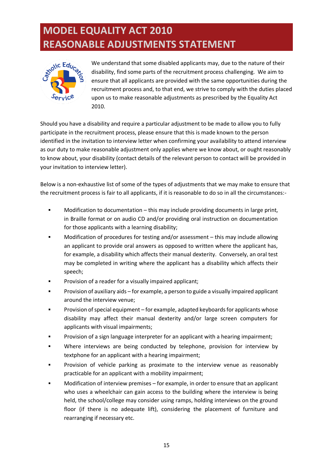# <span id="page-16-1"></span><span id="page-16-0"></span>**MODEL EQUALITY ACT 2010 REASONABLE ADJUSTMENTS STATEMENT**



We understand that some disabled applicants may, due to the nature of their disability, find some parts of the recruitment process challenging. We aim to ensure that all applicants are provided with the same opportunities during the recruitment process and, to that end, we strive to comply with the duties placed upon us to make reasonable adjustments as prescribed by the Equality Act 2010.

Should you have a disability and require a particular adjustment to be made to allow you to fully participate in the recruitment process, please ensure that this is made known to the person identified in the invitation to interview letter when confirming your availability to attend interview as our duty to make reasonable adjustment only applies where we know about, or ought reasonably to know about, your disability (contact details of the relevant person to contact will be provided in your invitation to interview letter).

Below is a non-exhaustive list of some of the types of adjustments that we may make to ensure that the recruitment process is fair to all applicants, if it is reasonable to do so in all the circumstances:-

- Modification to documentation  $-$  this may include providing documents in large print, in Braille format or on audio CD and/or providing oral instruction on documentation for those applicants with a learning disability;
- Modification of procedures for testing and/or assessment this may include allowing an applicant to provide oral answers as opposed to written where the applicant has, for example, a disability which affects their manual dexterity. Conversely, an oral test may be completed in writing where the applicant has a disability which affects their speech;
- **•** Provision of a reader for a visually impaired applicant;
- **•** Provision of auxiliary aids for example, a person to guide a visually impaired applicant around the interview venue;
- Provision of special equipment for example, adapted keyboards for applicants whose disability may affect their manual dexterity and/or large screen computers for applicants with visual impairments;
- **•** Provision of a sign language interpreter for an applicant with a hearing impairment;
- Where interviews are being conducted by telephone, provision for interview by textphone for an applicant with a hearing impairment;
- Provision of vehicle parking as proximate to the interview venue as reasonably practicable for an applicant with a mobility impairment;
- Modification of interview premises for example, in order to ensure that an applicant who uses a wheelchair can gain access to the building where the interview is being held, the school/college may consider using ramps, holding interviews on the ground floor (if there is no adequate lift), considering the placement of furniture and rearranging if necessary etc.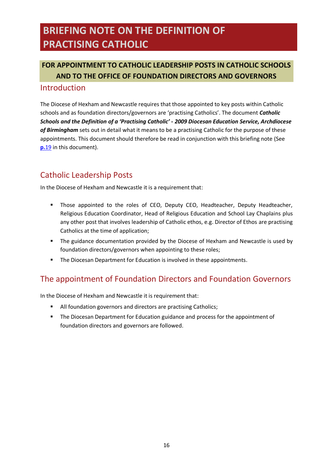# <span id="page-17-0"></span>**BRIEFING NOTE ON THE DEFINITION OF PRACTISING CATHOLIC**

# **FOR APPOINTMENT TO CATHOLIC LEADERSHIP POSTS IN CATHOLIC SCHOOLS AND TO THE OFFICE OF FOUNDATION DIRECTORS AND GOVERNORS**

#### **Introduction**

The Diocese of Hexham and Newcastle requires that those appointed to key posts within Catholic schools and as foundation directors/governors are 'practising Catholics'. The document *Catholic Schools and the Definition of a 'Practising Catholic' - 2009 Diocesan Education Service, Archdiocese of Birmingham* sets out in detail what it means to be a practising Catholic for the purpose of these appointments. This document should therefore be read in conjunction with this briefing note (See **p.**[19](#page-19-1) in this document).

# <span id="page-17-1"></span>Catholic Leadership Posts

In the Diocese of Hexham and Newcastle it is a requirement that:

- Those appointed to the roles of CEO, Deputy CEO, Headteacher, Deputy Headteacher, Religious Education Coordinator, Head of Religious Education and School Lay Chaplains plus any other post that involves leadership of Catholic ethos, e.g. Director of Ethos are practising Catholics at the time of application;
- **■** The guidance documentation provided by the Diocese of Hexham and Newcastle is used by foundation directors/governors when appointing to these roles;
- The Diocesan Department for Education is involved in these appointments.

# The appointment of Foundation Directors and Foundation Governors

In the Diocese of Hexham and Newcastle it is requirement that:

- All foundation governors and directors are practising Catholics;
- The Diocesan Department for Education guidance and process for the appointment of foundation directors and governors are followed.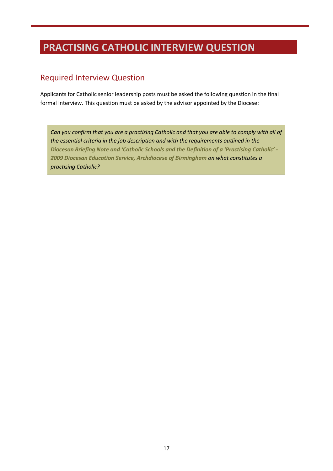# <span id="page-18-0"></span>**PRACTISING CATHOLIC INTERVIEW QUESTION**

## Required Interview Question

Applicants for Catholic senior leadership posts must be asked the following question in the final formal interview. This question must be asked by the advisor appointed by the Diocese:

*Can you confirm that you are a practising Catholic and that you are able to comply with all of the essential criteria in the job description and with the requirements outlined in the Diocesan Briefing Note and 'Catholic Schools and the Definition of a 'Practising Catholic' - 2009 Diocesan Education Service, Archdiocese of Birmingham on what constitutes a practising Catholic?*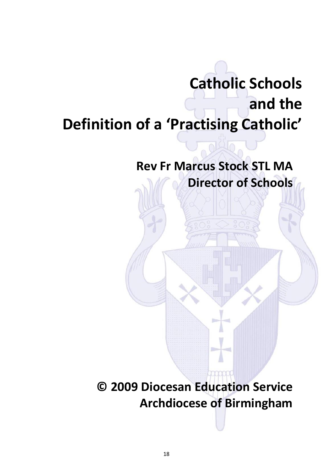# <span id="page-19-1"></span><span id="page-19-0"></span>**Catholic Schools and the Definition of a 'Practising Catholic'**

**Rev Fr Marcus Stock STL MA Director of Schools**

**© 2009 Diocesan Education Service Archdiocese of Birmingham**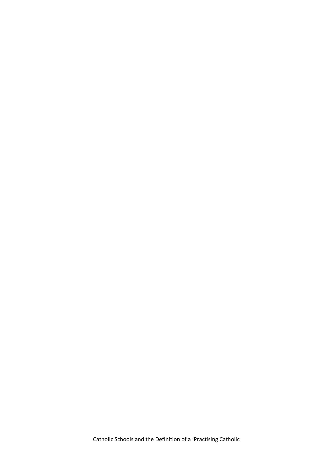Catholic Schools and the Definition of a 'Practising Catholic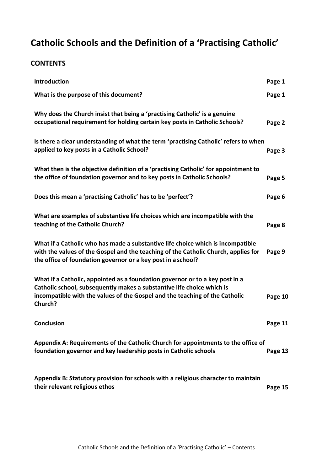# **Catholic Schools and the Definition of a 'Practising Catholic'**

#### **CONTENTS**

| Introduction                                                                                                                                                                                                                                     | Page 1  |
|--------------------------------------------------------------------------------------------------------------------------------------------------------------------------------------------------------------------------------------------------|---------|
| What is the purpose of this document?                                                                                                                                                                                                            | Page 1  |
| Why does the Church insist that being a 'practising Catholic' is a genuine<br>occupational requirement for holding certain key posts in Catholic Schools?                                                                                        | Page 2  |
| Is there a clear understanding of what the term 'practising Catholic' refers to when<br>applied to key posts in a Catholic School?                                                                                                               | Page 3  |
| What then is the objective definition of a 'practising Catholic' for appointment to<br>the office of foundation governor and to key posts in Catholic Schools?                                                                                   | Page 5  |
| Does this mean a 'practising Catholic' has to be 'perfect'?                                                                                                                                                                                      | Page 6  |
| What are examples of substantive life choices which are incompatible with the<br>teaching of the Catholic Church?                                                                                                                                | Page 8  |
| What if a Catholic who has made a substantive life choice which is incompatible<br>with the values of the Gospel and the teaching of the Catholic Church, applies for<br>the office of foundation governor or a key post in a school?            | Page 9  |
| What if a Catholic, appointed as a foundation governor or to a key post in a<br>Catholic school, subsequently makes a substantive life choice which is<br>incompatible with the values of the Gospel and the teaching of the Catholic<br>Church? | Page 10 |
| <b>Conclusion</b>                                                                                                                                                                                                                                | Page 11 |
| Appendix A: Requirements of the Catholic Church for appointments to the office of<br>foundation governor and key leadership posts in Catholic schools                                                                                            | Page 13 |
| Appendix B: Statutory provision for schools with a religious character to maintain<br>their relevant religious ethos                                                                                                                             | Page 15 |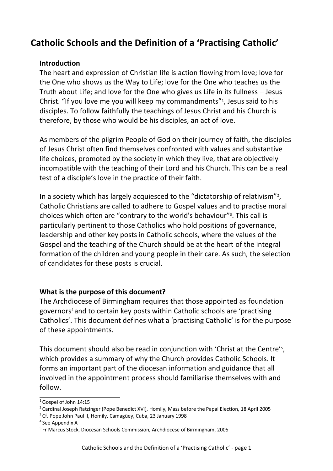# **Catholic Schools and the Definition of a 'Practising Catholic'**

## **Introduction**

The heart and expression of Christian life is action flowing from love; love for the One who shows us the Way to Life; love for the One who teaches us the Truth about Life; and love for the One who gives us Life in its fullness – Jesus Christ. "If you love me you will keep my commandments"<sup>1</sup>, Jesus said to his disciples. To follow faithfully the teachings of Jesus Christ and his Church is therefore, by those who would be his disciples, an act of love.

As members of the pilgrim People of God on their journey of faith, the disciples of Jesus Christ often find themselves confronted with values and substantive life choices, promoted by the society in which they live, that are objectively incompatible with the teaching of their Lord and his Church. This can be a real test of a disciple's love in the practice of their faith.

In a society which has largely acquiesced to the "dictatorship of relativism" $^2$ , Catholic Christians are called to adhere to Gospel values and to practise moral choices which often are "contrary to the world's behaviour"<sup>3</sup>. This call is particularly pertinent to those Catholics who hold positions of governance, leadership and other key posts in Catholic schools, where the values of the Gospel and the teaching of the Church should be at the heart of the integral formation of the children and young people in their care. As such, the selection of candidates for these posts is crucial.

## **What is the purpose of this document?**

The Archdiocese of Birmingham requires that those appointed as foundation governors4 and to certain key posts within Catholic schools are 'practising Catholics'. This document defines what a 'practising Catholic' is for the purpose of these appointments.

This document should also be read in conjunction with 'Christ at the Centre'<sup>5</sup>, which provides a summary of why the Church provides Catholic Schools. It forms an important part of the diocesan information and guidance that all involved in the appointment process should familiarise themselves with and follow.

<sup>&</sup>lt;sup>1</sup> Gospel of John 14:15

<sup>2</sup>Cardinal Joseph Ratzinger (Pope Benedict XVI), Homily, Mass before the Papal Election, 18 April 2005

<sup>&</sup>lt;sup>3</sup> Cf. Pope John Paul II, Homily, Camagüey, Cuba, 23 January 1998

<sup>&</sup>lt;sup>4</sup> See Appendix A

<sup>5</sup> Fr Marcus Stock, Diocesan Schools Commission, Archdiocese of Birmingham, 2005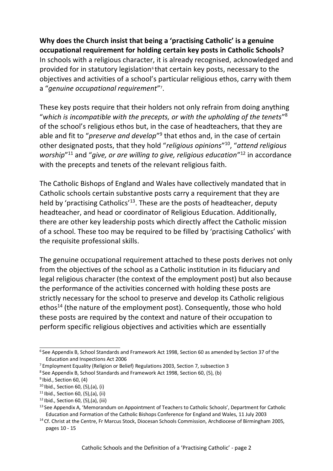**Why does the Church insist that being a 'practising Catholic' is a genuine occupational requirement for holding certain key posts in Catholic Schools?** In schools with a religious character, it is already recognised, acknowledged and provided for in statutory legislation<sup>6</sup> that certain key posts, necessary to the objectives and activities of a school's particular religious ethos, carry with them a "*genuine occupational requirement*" 7 .

These key posts require that their holders not only refrain from doing anything "*which is incompatible with the precepts, or with the upholding of the tenets*" 8 of the school's religious ethos but, in the case of headteachers, that they are able and fit to "*preserve and develop*"<sup>9</sup> that ethos and, in the case of certain other designated posts, that they hold "*religious opinions*" 10 , "*attend religious*  worship<sup>"11</sup> and "give, or are willing to give, religious education"<sup>12</sup> in accordance with the precepts and tenets of the relevant religious faith.

The Catholic Bishops of England and Wales have collectively mandated that in Catholic schools certain substantive posts carry a requirement that they are held by 'practising Catholics'<sup>13</sup>. These are the posts of headteacher, deputy headteacher, and head or coordinator of Religious Education. Additionally, there are other key leadership posts which directly affect the Catholic mission of a school. These too may be required to be filled by 'practising Catholics' with the requisite professional skills.

The genuine occupational requirement attached to these posts derives not only from the objectives of the school as a Catholic institution in its fiduciary and legal religious character (the context of the employment post) but also because the performance of the activities concerned with holding these posts are strictly necessary for the school to preserve and develop its Catholic religious ethos<sup>14</sup> (the nature of the employment post). Consequently, those who hold these posts are required by the context and nature of their occupation to perform specific religious objectives and activities which are essentially

 $6$  See Appendix B, School Standards and Framework Act 1998, Section 60 as amended by Section 37 of the Education and Inspections Act 2006

<sup>7</sup>Employment Equality (Religion or Belief) Regulations 2003, Section 7, subsection 3

<sup>&</sup>lt;sup>8</sup> See Appendix B, School Standards and Framework Act 1998, Section 60, (5), (b)

 $9$  Ibid., Section 60, (4)

 $10$  Ibid., Section 60, (5),(a), (i)

 $11$ Ibid., Section 60, (5),(a), (ii)

 $12$  Ibid., Section 60, (5),(a), (iii)

<sup>&</sup>lt;sup>13</sup> See Appendix A, 'Memorandum on Appointment of Teachers to Catholic Schools', Department for Catholic Education and Formation of the Catholic Bishops Conference for England and Wales, 11 July 2003

<sup>&</sup>lt;sup>14</sup> Cf. Christ at the Centre, Fr Marcus Stock, Diocesan Schools Commission, Archdiocese of Birmingham 2005, pages 10 - 15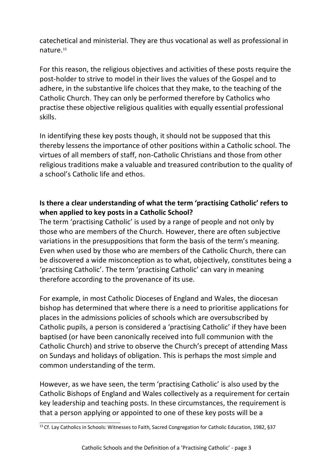catechetical and ministerial. They are thus vocational as well as professional in nature.<sup>15</sup>

For this reason, the religious objectives and activities of these posts require the post-holder to strive to model in their lives the values of the Gospel and to adhere, in the substantive life choices that they make, to the teaching of the Catholic Church. They can only be performed therefore by Catholics who practise these objective religious qualities with equally essential professional skills.

In identifying these key posts though, it should not be supposed that this thereby lessens the importance of other positions within a Catholic school. The virtues of all members of staff, non-Catholic Christians and those from other religious traditions make a valuable and treasured contribution to the quality of a school's Catholic life and ethos.

## **Is there a clear understanding of what the term 'practising Catholic' refers to when applied to key posts in a Catholic School?**

The term 'practising Catholic' is used by a range of people and not only by those who are members of the Church. However, there are often subjective variations in the presuppositions that form the basis of the term's meaning. Even when used by those who are members of the Catholic Church, there can be discovered a wide misconception as to what, objectively, constitutes being a 'practising Catholic'. The term 'practising Catholic' can vary in meaning therefore according to the provenance of its use.

For example, in most Catholic Dioceses of England and Wales, the diocesan bishop has determined that where there is a need to prioritise applications for places in the admissions policies of schools which are oversubscribed by Catholic pupils, a person is considered a 'practising Catholic' if they have been baptised (or have been canonically received into full communion with the Catholic Church) and strive to observe the Church's precept of attending Mass on Sundays and holidays of obligation. This is perhaps the most simple and common understanding of the term.

However, as we have seen, the term 'practising Catholic' is also used by the Catholic Bishops of England and Wales collectively as a requirement for certain key leadership and teaching posts. In these circumstances, the requirement is that a person applying or appointed to one of these key posts will be a

<sup>&</sup>lt;sup>15</sup> Cf. Lav Catholics in Schools: Witnesses to Faith, Sacred Congregation for Catholic Education, 1982, §37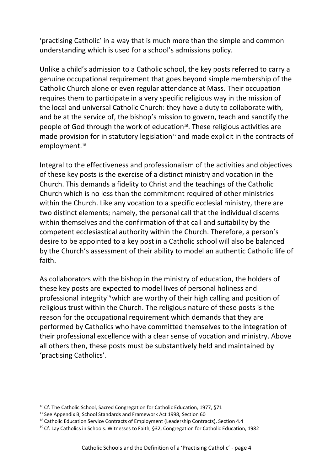'practising Catholic' in a way that is much more than the simple and common understanding which is used for a school's admissions policy.

Unlike a child's admission to a Catholic school, the key posts referred to carry a genuine occupational requirement that goes beyond simple membership of the Catholic Church alone or even regular attendance at Mass. Their occupation requires them to participate in a very specific religious way in the mission of the local and universal Catholic Church: they have a duty to collaborate with, and be at the service of, the bishop's mission to govern, teach and sanctify the people of God through the work of education<sup>16</sup>. These religious activities are made provision for in statutory legislation $17$  and made explicit in the contracts of employment.<sup>18</sup>

Integral to the effectiveness and professionalism of the activities and objectives of these key posts is the exercise of a distinct ministry and vocation in the Church. This demands a fidelity to Christ and the teachings of the Catholic Church which is no less than the commitment required of other ministries within the Church. Like any vocation to a specific ecclesial ministry, there are two distinct elements; namely, the personal call that the individual discerns within themselves and the confirmation of that call and suitability by the competent ecclesiastical authority within the Church. Therefore, a person's desire to be appointed to a key post in a Catholic school will also be balanced by the Church's assessment of their ability to model an authentic Catholic life of faith.

As collaborators with the bishop in the ministry of education, the holders of these key posts are expected to model lives of personal holiness and professional integrity<sup>19</sup> which are worthy of their high calling and position of religious trust within the Church. The religious nature of these posts is the reason for the occupational requirement which demands that they are performed by Catholics who have committed themselves to the integration of their professional excellence with a clear sense of vocation and ministry. Above all others then, these posts must be substantively held and maintained by 'practising Catholics'.

<sup>&</sup>lt;sup>16</sup> Cf. The Catholic School, Sacred Congregation for Catholic Education, 1977, §71

<sup>&</sup>lt;sup>17</sup> See Appendix B, School Standards and Framework Act 1998, Section 60

<sup>&</sup>lt;sup>18</sup> Catholic Education Service Contracts of Employment (Leadership Contracts), Section 4.4

<sup>19</sup> Cf. Lay Catholics in Schools: Witnesses to Faith, §32, Congregation for Catholic Education, 1982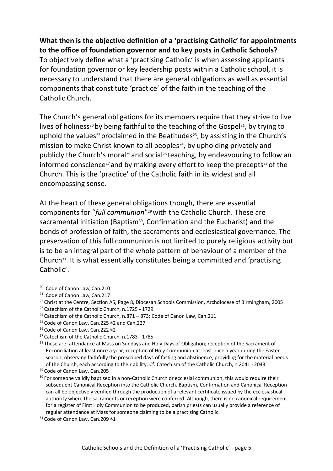**What then is the objective definition of a 'practising Catholic' for appointments to the office of foundation governor and to key posts in Catholic Schools?** To objectively define what a 'practising Catholic' is when assessing applicants for foundation governor or key leadership posts within a Catholic school, it is necessary to understand that there are general obligations as well as essential components that constitute 'practice' of the faith in the teaching of the Catholic Church.

The Church's general obligations for its members require that they strive to live lives of holiness<sup>20</sup> by being faithful to the teaching of the Gospel<sup>21</sup>, by trying to uphold the values<sup>22</sup> proclaimed in the Beatitudes<sup>23</sup>, by assisting in the Church's mission to make Christ known to all peoples<sup>24</sup>, by upholding privately and publicly the Church's moral<sup>25</sup> and social<sup>26</sup> teaching, by endeavouring to follow an informed conscience<sup>27</sup> and by making every effort to keep the precepts<sup>28</sup> of the Church. This is the 'practice' of the Catholic faith in its widest and all encompassing sense.

At the heart of these general obligations though, there are essential components for "full communion"<sup>29</sup> with the Catholic Church. These are sacramental initiation (Baptism<sup>30</sup>, Confirmation and the Eucharist) and the bonds of profession of faith, the sacraments and ecclesiastical governance. The preservation of this full communion is not limited to purely religious activity but is to be an integral part of the whole pattern of behaviour of a member of the Church31. It is what essentially constitutes being a committed and 'practising Catholic'.

<sup>&</sup>lt;sup>20</sup> Code of Canon Law, Can.210

<sup>&</sup>lt;sup>21</sup> Code of Canon Law, Can.217

<sup>&</sup>lt;sup>22</sup> Christ at the Centre, Section A5, Page 8, Diocesan Schools Commission, Archdiocese of Birmingham, 2005 <sup>23</sup> Catechism of the Catholic Church, n.1725 - 1729

<sup>&</sup>lt;sup>24</sup> Catechism of the Catholic Church,  $n.871 - 873$ ; Code of Canon Law, Can.211

<sup>&</sup>lt;sup>25</sup> Code of Canon Law, Can.225 §2 and Can.227

<sup>&</sup>lt;sup>26</sup> Code of Canon Law, Can.222 §2

<sup>&</sup>lt;sup>27</sup> Catechism of the Catholic Church, n.1783 - 1785

<sup>&</sup>lt;sup>28</sup> These are: attendance at Mass on Sundays and Holy Days of Obligation; reception of the Sacrament of Reconciliation at least once a year; reception of Holy Communion at least once a year during the Easter season; observing faithfully the prescribed days of fasting and abstinence; providing for the material needs of the Church, each according to their ability. Cf. Catechism of the Catholic Church, n.2041 -2043

<sup>&</sup>lt;sup>29</sup> Code of Canon Law, Can.205

<sup>&</sup>lt;sup>30</sup> For someone validly baptised in a non-Catholic Church or ecclesial communion, this would require their subsequent Canonical Reception into the Catholic Church. Baptism, Confirmation and Canonical Reception can all be objectively verified through the production of a relevant certificate issued by the ecclesiastical authority where the sacraments or reception were conferred. Although, there is no canonical requirement for a register of First Holy Communion to be produced, parish priests can usually provide a reference of regular attendance at Mass for someone claiming to be a practising Catholic.

<sup>31</sup> Code of Canon Law, Can.209 §1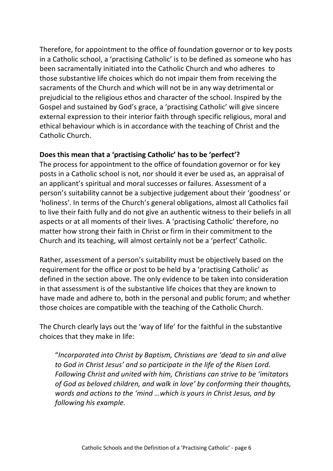Therefore, for appointment to the office of foundation governor or to key posts in a Catholic school, a 'practising Catholic' is to be defined as someone who has been sacramentally initiated into the Catholic Church and who adheres to those substantive life choices which do not impair them from receiving the sacraments of the Church and which will not be in any way detrimental or prejudicial to the religious ethos and character of the school. Inspired by the Gospel and sustained by God's grace, a 'practising Catholic' will give sincere external expression to their interior faith through specific religious, moral and ethical behaviour which is in accordance with the teaching of Christ and the Catholic Church.

## **Does this mean that a 'practising Catholic' has to be 'perfect'?**

The process for appointment to the office of foundation governor or for key posts in a Catholic school is not, nor should it ever be used as, an appraisal of an applicant's spiritual and moral successes or failures. Assessment of a person's suitability cannot be a subjective judgement about their 'goodness' or 'holiness'. In terms of the Church's general obligations, almost all Catholics fail to live their faith fully and do not give an authentic witness to their beliefs in all aspects or at all moments of their lives. A 'practising Catholic' therefore, no matter how strong their faith in Christ or firm in their commitment to the Church and its teaching, will almost certainly not be a 'perfect' Catholic.

Rather, assessment of a person's suitability must be objectively based on the requirement for the office or post to be held by a 'practising Catholic' as defined in the section above. The only evidence to be taken into consideration in that assessment is of the substantive life choices that they are known to have made and adhere to, both in the personal and public forum; and whether those choices are compatible with the teaching of the Catholic Church.

The Church clearly lays out the 'way of life' for the faithful in the substantive choices that they make in life:

"*Incorporated into Christ by Baptism, Christians are 'dead to sin and alive to God in Christ Jesus' and so participate in the life of the Risen Lord. Following Christ and united with him, Christians can strive to be 'imitators of God as beloved children, and walk in love' by conforming their thoughts, words and actions to the 'mind …which is yours in Christ Jesus, and by following his example.*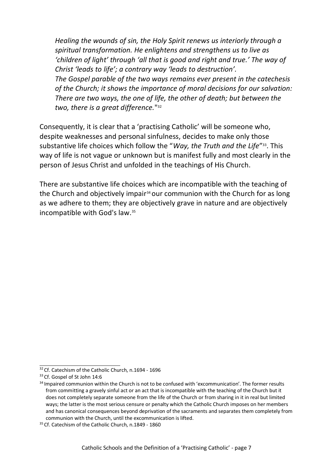*Healing the wounds of sin, the Holy Spirit renews us interiorly through a spiritual transformation. He enlightens and strengthens us to live as 'children of light' through 'all that is good and right and true.' The way of Christ 'leads to life'; a contrary way 'leads to destruction'. The Gospel parable of the two ways remains ever present in the catechesis of the Church; it shows the importance of moral decisions for our salvation: There are two ways, the one of life, the other of death; but between the two, there is a great difference.*" 32

Consequently, it is clear that a 'practising Catholic' will be someone who, despite weaknesses and personal sinfulness, decides to make only those substantive life choices which follow the "*Way, the Truth and the Life*" <sup>33</sup>. This way of life is not vague or unknown but is manifest fully and most clearly in the person of Jesus Christ and unfolded in the teachings of His Church.

There are substantive life choices which are incompatible with the teaching of the Church and objectively impair<sup>34</sup> our communion with the Church for as long as we adhere to them; they are objectively grave in nature and are objectively incompatible with God's law.<sup>35</sup>

<sup>&</sup>lt;sup>32</sup> Cf. Catechism of the Catholic Church, n.1694 - 1696

<sup>33</sup> Cf. Gospel of St John 14:6

<sup>&</sup>lt;sup>34</sup> Impaired communion within the Church is not to be confused with 'excommunication'. The former results from committing a gravely sinful act or an act that is incompatible with the teaching of the Church but it does not completely separate someone from the life of the Church or from sharing in it in real but limited ways; the latter is the most serious censure or penalty which the Catholic Church imposes on her members and has canonical consequences beyond deprivation of the sacraments and separates them completely from communion with the Church, until the excommunication is lifted.

<sup>&</sup>lt;sup>35</sup> Cf. Catechism of the Catholic Church, n.1849 - 1860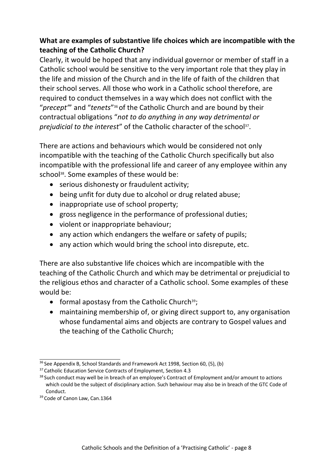## **What are examples of substantive life choices which are incompatible with the teaching of the Catholic Church?**

Clearly, it would be hoped that any individual governor or member of staff in a Catholic school would be sensitive to the very important role that they play in the life and mission of the Church and in the life of faith of the children that their school serves. All those who work in a Catholic school therefore, are required to conduct themselves in a way which does not conflict with the "precept"' and "tenets"<sup>36</sup> of the Catholic Church and are bound by their contractual obligations "*not to do anything in any way detrimental or*  prejudicial to the interest" of the Catholic character of the school<sup>37</sup>.

There are actions and behaviours which would be considered not only incompatible with the teaching of the Catholic Church specifically but also incompatible with the professional life and career of any employee within any school<sup>38</sup>. Some examples of these would be:

- serious dishonesty or fraudulent activity;
- being unfit for duty due to alcohol or drug related abuse;
- inappropriate use of school property;
- gross negligence in the performance of professional duties;
- violent or inappropriate behaviour;
- any action which endangers the welfare or safety of pupils;
- any action which would bring the school into disrepute, etc.

There are also substantive life choices which are incompatible with the teaching of the Catholic Church and which may be detrimental or prejudicial to the religious ethos and character of a Catholic school. Some examples of these would be:

- formal apostasy from the Catholic Church<sup>39</sup>;
- maintaining membership of, or giving direct support to, any organisation whose fundamental aims and objects are contrary to Gospel values and the teaching of the Catholic Church;

<sup>&</sup>lt;sup>36</sup> See Appendix B, School Standards and Framework Act 1998, Section 60, (5), (b)

<sup>&</sup>lt;sup>37</sup> Catholic Education Service Contracts of Employment, Section 4.3

<sup>&</sup>lt;sup>38</sup> Such conduct may well be in breach of an employee's Contract of Employment and/or amount to actions which could be the subject of disciplinary action. Such behaviour may also be in breach of the GTC Code of Conduct.

<sup>&</sup>lt;sup>39</sup> Code of Canon Law, Can.1364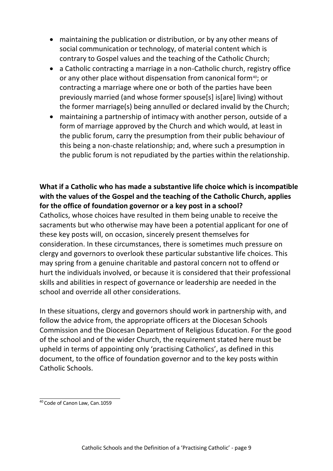- maintaining the publication or distribution, or by any other means of social communication or technology, of material content which is contrary to Gospel values and the teaching of the Catholic Church;
- a Catholic contracting a marriage in a non-Catholic church, registry office or any other place without dispensation from canonical form<sup>40</sup>; or contracting a marriage where one or both of the parties have been previously married (and whose former spouse[s] is[are] living) without the former marriage(s) being annulled or declared invalid by the Church;
- maintaining a partnership of intimacy with another person, outside of a form of marriage approved by the Church and which would, at least in the public forum, carry the presumption from their public behaviour of this being a non-chaste relationship; and, where such a presumption in the public forum is not repudiated by the parties within the relationship.

## **What if a Catholic who has made a substantive life choice which is incompatible with the values of the Gospel and the teaching of the Catholic Church, applies for the office of foundation governor or a key post in a school?**

Catholics, whose choices have resulted in them being unable to receive the sacraments but who otherwise may have been a potential applicant for one of these key posts will, on occasion, sincerely present themselves for consideration. In these circumstances, there is sometimes much pressure on clergy and governors to overlook these particular substantive life choices. This may spring from a genuine charitable and pastoral concern not to offend or hurt the individuals involved, or because it is considered that their professional skills and abilities in respect of governance or leadership are needed in the school and override all other considerations.

In these situations, clergy and governors should work in partnership with, and follow the advice from, the appropriate officers at the Diocesan Schools Commission and the Diocesan Department of Religious Education. For the good of the school and of the wider Church, the requirement stated here must be upheld in terms of appointing only 'practising Catholics', as defined in this document, to the office of foundation governor and to the key posts within Catholic Schools.

<sup>40</sup> Code of Canon Law, Can.1059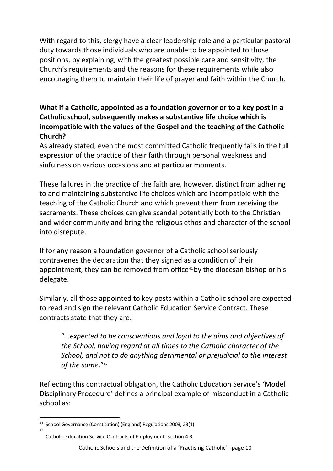With regard to this, clergy have a clear leadership role and a particular pastoral duty towards those individuals who are unable to be appointed to those positions, by explaining, with the greatest possible care and sensitivity, the Church's requirements and the reasons for these requirements while also encouraging them to maintain their life of prayer and faith within the Church.

## **What if a Catholic, appointed as a foundation governor or to a key post in a Catholic school, subsequently makes a substantive life choice which is incompatible with the values of the Gospel and the teaching of the Catholic Church?**

As already stated, even the most committed Catholic frequently fails in the full expression of the practice of their faith through personal weakness and sinfulness on various occasions and at particular moments.

These failures in the practice of the faith are, however, distinct from adhering to and maintaining substantive life choices which are incompatible with the teaching of the Catholic Church and which prevent them from receiving the sacraments. These choices can give scandal potentially both to the Christian and wider community and bring the religious ethos and character of the school into disrepute.

If for any reason a foundation governor of a Catholic school seriously contravenes the declaration that they signed as a condition of their appointment, they can be removed from office<sup>41</sup> by the diocesan bishop or his delegate.

Similarly, all those appointed to key posts within a Catholic school are expected to read and sign the relevant Catholic Education Service Contract. These contracts state that they are:

"…*expected to be conscientious and loyal to the aims and objectives of the School, having regard at all times to the Catholic character of the School, and not to do anything detrimental or prejudicial to the interest of the same*."<sup>42</sup>

Reflecting this contractual obligation, the Catholic Education Service's 'Model Disciplinary Procedure' defines a principal example of misconduct in a Catholic school as:

#### Catholic Schools and the Definition of a 'Practising Catholic' - page 10

<sup>41</sup> School Governance (Constitution) (England) Regulations 2003, 23(1) 42

Catholic Education Service Contracts of Employment, Section 4.3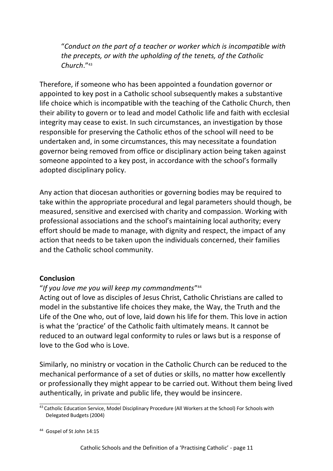"*Conduct on the part of a teacher or worker which is incompatible with the precepts, or with the upholding of the tenets, of the Catholic Church*."<sup>43</sup>

Therefore, if someone who has been appointed a foundation governor or appointed to key post in a Catholic school subsequently makes a substantive life choice which is incompatible with the teaching of the Catholic Church, then their ability to govern or to lead and model Catholic life and faith with ecclesial integrity may cease to exist. In such circumstances, an investigation by those responsible for preserving the Catholic ethos of the school will need to be undertaken and, in some circumstances, this may necessitate a foundation governor being removed from office or disciplinary action being taken against someone appointed to a key post, in accordance with the school's formally adopted disciplinary policy.

Any action that diocesan authorities or governing bodies may be required to take within the appropriate procedural and legal parameters should though, be measured, sensitive and exercised with charity and compassion. Working with professional associations and the school's maintaining local authority; every effort should be made to manage, with dignity and respect, the impact of any action that needs to be taken upon the individuals concerned, their families and the Catholic school community.

## **Conclusion**

# "*If you love me you will keep my commandments*" 44

Acting out of love as disciples of Jesus Christ, Catholic Christians are called to model in the substantive life choices they make, the Way, the Truth and the Life of the One who, out of love, laid down his life for them. This love in action is what the 'practice' of the Catholic faith ultimately means. It cannot be reduced to an outward legal conformity to rules or laws but is a response of love to the God who is Love.

Similarly, no ministry or vocation in the Catholic Church can be reduced to the mechanical performance of a set of duties or skills, no matter how excellently or professionally they might appear to be carried out. Without them being lived authentically, in private and public life, they would be insincere.

<sup>&</sup>lt;sup>43</sup> Catholic Education Service, Model Disciplinary Procedure (All Workers at the School) For Schools with Delegated Budgets (2004)

<sup>44</sup> Gospel of St John 14:15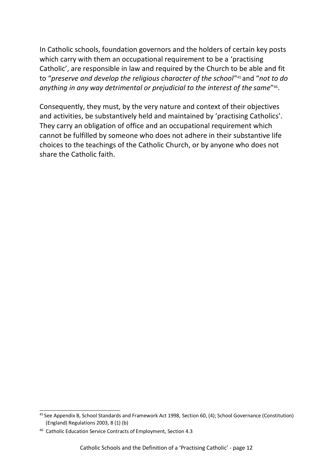In Catholic schools, foundation governors and the holders of certain key posts which carry with them an occupational requirement to be a 'practising' Catholic', are responsible in law and required by the Church to be able and fit to "*preserve and develop the religious character of the school*" <sup>45</sup>and "*not to do anything in any way detrimental or prejudicial to the interest of the same*" 46 .

Consequently, they must, by the very nature and context of their objectives and activities, be substantively held and maintained by 'practising Catholics'. They carry an obligation of office and an occupational requirement which cannot be fulfilled by someone who does not adhere in their substantive life choices to the teachings of the Catholic Church, or by anyone who does not share the Catholic faith.

<sup>&</sup>lt;sup>45</sup> See Appendix B, School Standards and Framework Act 1998, Section 60, (4); School Governance (Constitution) (England) Regulations 2003, 8 (1) (b)

<sup>46</sup> Catholic Education Service Contracts of Employment, Section 4.3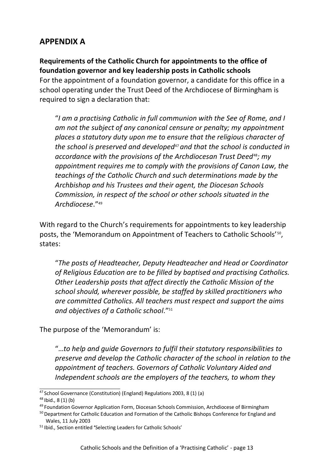# **APPENDIX A**

**Requirements of the Catholic Church for appointments to the office of foundation governor and key leadership posts in Catholic schools** For the appointment of a foundation governor, a candidate for this office in a school operating under the Trust Deed of the Archdiocese of Birmingham is required to sign a declaration that:

"*I am a practising Catholic in full communion with the See of Rome, and I am not the subject of any canonical censure or penalty; my appointment places a statutory duty upon me to ensure that the religious character of the school is preserved and developed*47 *and that the school is conducted in accordance with the provisions of the Archdiocesan Trust Deed*48*; my appointment requires me to comply with the provisions of Canon Law, the teachings of the Catholic Church and such determinations made by the Archbishop and his Trustees and their agent, the Diocesan Schools Commission, in respect of the school or other schools situated in the Archdiocese*."<sup>49</sup>

With regard to the Church's requirements for appointments to key leadership posts, the 'Memorandum on Appointment of Teachers to Catholic Schools'<sup>50</sup>, states:

"*The posts of Headteacher, Deputy Headteacher and Head or Coordinator of Religious Education are to be filled by baptised and practising Catholics. Other Leadership posts that affect directly the Catholic Mission of the school should, wherever possible, be staffed by skilled practitioners who are committed Catholics. All teachers must respect and support the aims and objectives of a Catholic school*."<sup>51</sup>

The purpose of the 'Memorandum' is:

"…*to help and guide Governors to fulfil their statutory responsibilities to preserve and develop the Catholic character of the school in relation to the appointment of teachers. Governors of Catholic Voluntary Aided and Independent schools are the employers of the teachers, to whom they*

<sup>&</sup>lt;sup>47</sup> School Governance (Constitution) (England) Regulations 2003, 8 (1) (a)

 $48$  Ibid., 8 (1) (b)

<sup>49</sup> Foundation Governor Application Form, Diocesan Schools Commission, Archdiocese of Birmingham

<sup>&</sup>lt;sup>50</sup> Department for Catholic Education and Formation of the Catholic Bishops Conference for England and Wales, 11 July 2003

<sup>51</sup>Ibid., Section entitled **'**Selecting Leaders for Catholic Schools'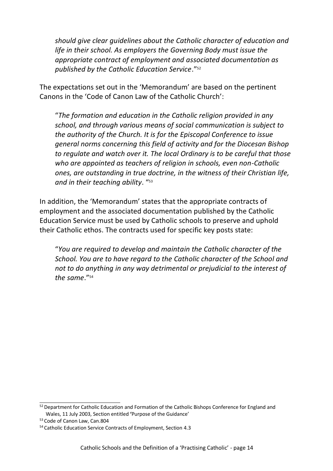*should give clear guidelines about the Catholic character of education and life in their school. As employers the Governing Body must issue the appropriate contract of employment and associated documentation as published by the Catholic Education Service*."<sup>52</sup>

The expectations set out in the 'Memorandum' are based on the pertinent Canons in the 'Code of Canon Law of the Catholic Church':

"*The formation and education in the Catholic religion provided in any school, and through various means of social communication is subject to the authority of the Church. It is for the Episcopal Conference to issue general norms concerning this field of activity and for the Diocesan Bishop to regulate and watch over it. The local Ordinary is to be careful that those who are appointed as teachers of religion in schools, even non-Catholic ones, are outstanding in true doctrine, in the witness of their Christian life, and in their teaching ability*. "<sup>53</sup>

In addition, the 'Memorandum' states that the appropriate contracts of employment and the associated documentation published by the Catholic Education Service must be used by Catholic schools to preserve and uphold their Catholic ethos. The contracts used for specific key posts state:

"*You are required to develop and maintain the Catholic character of the School. You are to have regard to the Catholic character of the School and not to do anything in any way detrimental or prejudicial to the interest of the same*."<sup>54</sup>

<sup>&</sup>lt;sup>52</sup> Department for Catholic Education and Formation of the Catholic Bishops Conference for England and Wales, 11 July 2003, Section entitled **'**Purpose of the Guidance'

<sup>53</sup> Code of Canon Law, Can.804

<sup>54</sup> Catholic Education Service Contracts of Employment, Section 4.3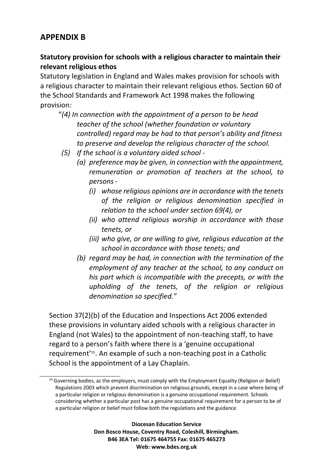# **APPENDIX B**

## **Statutory provision for schools with a religious character to maintain their relevant religious ethos**

Statutory legislation in England and Wales makes provision for schools with a religious character to maintain their relevant religious ethos. Section 60 of the School Standards and Framework Act 1998 makes the following provision:

- "*(4) In connection with the appointment of a person to be head teacher of the school (whether foundation or voluntary controlled) regard may be had to that person's ability and fitness to preserve and develop the religious character of the school.*
- *(5) If the school is a voluntary aided school -*
	- *(a) preference may be given, in connection with the appointment, remuneration or promotion of teachers at the school, to persons-*
		- *(i) whose religious opinions are in accordance with the tenets of the religion or religious denomination specified in relation to the school under section 69(4), or*
		- *(ii) who attend religious worship in accordance with those tenets, or*
		- *(iii) who give, or are willing to give, religious education at the school in accordance with those tenets; and*
	- *(b) regard may be had, in connection with the termination of the employment of any teacher at the school, to any conduct on his part which is incompatible with the precepts, or with the upholding of the tenets, of the religion or religious denomination so specified.*"

Section 37(2)(b) of the Education and Inspections Act 2006 extended these provisions in voluntary aided schools with a religious character in England (not Wales) to the appointment of non-teaching staff, to have regard to a person's faith where there is a 'genuine occupational requirement'55. An example of such a non-teaching post in a Catholic School is the appointment of a Lay Chaplain.

<sup>&</sup>lt;sup>55</sup> Governing bodies, as the employers, must comply with the Employment Equality (Religion or Belief) Regulations 2003 which prevent discrimination on religious grounds, except in a case where being of a particular religion or religious denomination is a genuine occupational requirement. Schools considering whether a particular post has a genuine occupational requirement for a person to be of a particular religion or belief must follow both the regulations and the guidance.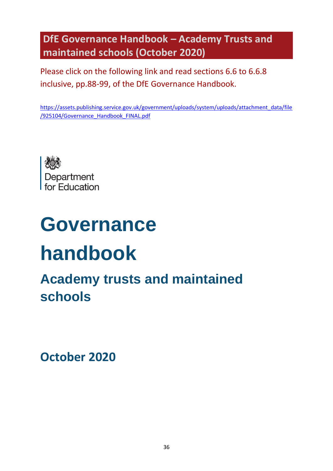<span id="page-37-0"></span>**DfE Governance Handbook – Academy Trusts and maintained schools (October 2020)**

Please click on the following link and read sections 6.6 to 6.6.8 inclusive, pp.88-99, of the DfE Governance Handbook.

[https://assets.publishing.service.gov.uk/government/uploads/system/uploads/attachment\\_data/file](https://assets.publishing.service.gov.uk/government/uploads/system/uploads/attachment_data/file/925104/Governance_Handbook_FINAL.pdf) [/925104/Governance\\_Handbook\\_FINAL.pdf](https://assets.publishing.service.gov.uk/government/uploads/system/uploads/attachment_data/file/925104/Governance_Handbook_FINAL.pdf)

Department for **Fducation** 

# **Governance handbook**

# **Academy trusts and maintained schools**

**October 2020**